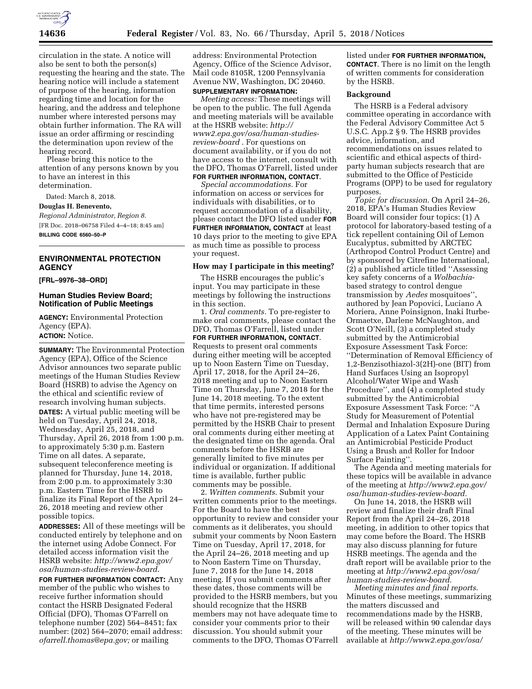

circulation in the state. A notice will also be sent to both the person(s) requesting the hearing and the state. The hearing notice will include a statement of purpose of the hearing, information regarding time and location for the hearing, and the address and telephone number where interested persons may obtain further information. The RA will issue an order affirming or rescinding the determination upon review of the hearing record.

Please bring this notice to the attention of any persons known by you to have an interest in this determination.

Dated: March 8, 2018.

**Douglas H. Benevento,** 

*Regional Administrator, Region 8.*  [FR Doc. 2018–06758 Filed 4–4–18; 8:45 am]

**BILLING CODE 6560–50–P** 

# **ENVIRONMENTAL PROTECTION AGENCY**

#### **[FRL–9976–38–ORD]**

## **Human Studies Review Board; Notification of Public Meetings**

**AGENCY:** Environmental Protection Agency (EPA). **ACTION:** Notice.

**SUMMARY:** The Environmental Protection Agency (EPA), Office of the Science Advisor announces two separate public meetings of the Human Studies Review Board (HSRB) to advise the Agency on the ethical and scientific review of research involving human subjects. **DATES:** A virtual public meeting will be held on Tuesday, April 24, 2018, Wednesday, April 25, 2018, and Thursday, April 26, 2018 from 1:00 p.m. to approximately 5:30 p.m. Eastern Time on all dates. A separate, subsequent teleconference meeting is planned for Thursday, June 14, 2018, from 2:00 p.m. to approximately 3:30 p.m. Eastern Time for the HSRB to finalize its Final Report of the April 24– 26, 2018 meeting and review other possible topics.

**ADDRESSES:** All of these meetings will be conducted entirely by telephone and on the internet using Adobe Connect. For detailed access information visit the HSRB website: *[http://www2.epa.gov/](http://www2.epa.gov/osa/human-studies-review-board) [osa/human-studies-review-board](http://www2.epa.gov/osa/human-studies-review-board)*.

**FOR FURTHER INFORMATION CONTACT:** Any member of the public who wishes to receive further information should contact the HSRB Designated Federal Official (DFO), Thomas O'Farrell on telephone number (202) 564–8451; fax number: (202) 564–2070; email address: *[ofarrell.thomas@epa.gov;](mailto:ofarrell.thomas@epa.gov)* or mailing

address: Environmental Protection Agency, Office of the Science Advisor, Mail code 8105R, 1200 Pennsylvania Avenue NW, Washington, DC 20460. **SUPPLEMENTARY INFORMATION:** 

*Meeting access:* These meetings will be open to the public. The full Agenda and meeting materials will be available at the HSRB website: *[http://](http://www2.epa.gov/osa/human-studies-review-board) [www2.epa.gov/osa/human-studies](http://www2.epa.gov/osa/human-studies-review-board)[review-board](http://www2.epa.gov/osa/human-studies-review-board)* . For questions on document availability, or if you do not have access to the internet, consult with the DFO, Thomas O'Farrell, listed under **FOR FURTHER INFORMATION, CONTACT**.

*Special accommodations.* For information on access or services for individuals with disabilities, or to request accommodation of a disability, please contact the DFO listed under **FOR FURTHER INFORMATION, CONTACT** at least 10 days prior to the meeting to give EPA as much time as possible to process your request.

### **How may I participate in this meeting?**

The HSRB encourages the public's input. You may participate in these meetings by following the instructions in this section.

1. *Oral comments.* To pre-register to make oral comments, please contact the DFO, Thomas O'Farrell, listed under **FOR FURTHER INFORMATION, CONTACT**. Requests to present oral comments during either meeting will be accepted up to Noon Eastern Time on Tuesday, April 17, 2018, for the April 24–26, 2018 meeting and up to Noon Eastern Time on Thursday, June 7, 2018 for the June 14, 2018 meeting. To the extent that time permits, interested persons who have not pre-registered may be permitted by the HSRB Chair to present oral comments during either meeting at the designated time on the agenda. Oral comments before the HSRB are generally limited to five minutes per individual or organization. If additional time is available, further public comments may be possible.

2. *Written comments*. Submit your written comments prior to the meetings. For the Board to have the best opportunity to review and consider your comments as it deliberates, you should submit your comments by Noon Eastern Time on Tuesday, April 17, 2018, for the April 24–26, 2018 meeting and up to Noon Eastern Time on Thursday, June 7, 2018 for the June 14, 2018 meeting. If you submit comments after these dates, those comments will be provided to the HSRB members, but you should recognize that the HSRB members may not have adequate time to consider your comments prior to their discussion. You should submit your comments to the DFO, Thomas O'Farrell

listed under **FOR FURTHER INFORMATION, CONTACT**. There is no limit on the length of written comments for consideration by the HSRB.

### **Background**

The HSRB is a Federal advisory committee operating in accordance with the Federal Advisory Committee Act 5 U.S.C. App.2 § 9. The HSRB provides advice, information, and recommendations on issues related to scientific and ethical aspects of thirdparty human subjects research that are submitted to the Office of Pesticide Programs (OPP) to be used for regulatory purposes.

*Topic for discussion*. On April 24–26, 2018, EPA's Human Studies Review Board will consider four topics: (1) A protocol for laboratory-based testing of a tick repellent containing Oil of Lemon Eucalyptus, submitted by ARCTEC (Arthropod Control Product Centre) and by sponsored by Citrefine International, (2) a published article titled ''Assessing key safety concerns of a *Wolbachia*based strategy to control dengue transmission by *Aedes* mosquitoes'', authored by Jean Popovici, Luciano A Moriera, Anne Poinsignon, Inaki Iturbe-Ormaetxe, Darlene McNaughton, and Scott O'Neill, (3) a completed study submitted by the Antimicrobial Exposure Assessment Task Force: ''Determination of Removal Efficiency of 1,2-Benzisothiazol-3(2H)-one (BIT) from Hand Surfaces Using an Isopropyl Alcohol/Water Wipe and Wash Procedure'', and (4) a completed study submitted by the Antimicrobial Exposure Assessment Task Force: ''A Study for Measurement of Potential Dermal and Inhalation Exposure During Application of a Latex Paint Containing an Antimicrobial Pesticide Product Using a Brush and Roller for Indoor Surface Painting''.

The Agenda and meeting materials for these topics will be available in advance of the meeting at *[http://www2.epa.gov/](http://www2.epa.gov/osa/human-studies-review-board) [osa/human-studies-review-board.](http://www2.epa.gov/osa/human-studies-review-board)* 

On June 14, 2018, the HSRB will review and finalize their draft Final Report from the April 24–26, 2018 meeting, in addition to other topics that may come before the Board. The HSRB may also discuss planning for future HSRB meetings. The agenda and the draft report will be available prior to the meeting at *<http://www2.epa.gov/osa/> human-studies-review-board.* 

*Meeting minutes and final reports*. Minutes of these meetings, summarizing the matters discussed and recommendations made by the HSRB, will be released within 90 calendar days of the meeting. These minutes will be available at *<http://www2.epa.gov/osa/>*